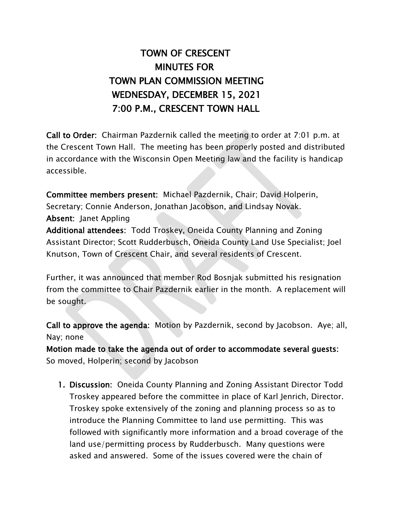## TOWN OF CRESCENT MINUTES FOR TOWN PLAN COMMISSION MEETING WEDNESDAY, DECEMBER 15, 2021 7:00 P.M., CRESCENT TOWN HALL

Call to Order: Chairman Pazdernik called the meeting to order at 7:01 p.m. at the Crescent Town Hall. The meeting has been properly posted and distributed in accordance with the Wisconsin Open Meeting law and the facility is handicap accessible.

Committee members present: Michael Pazdernik, Chair; David Holperin, Secretary; Connie Anderson, Jonathan Jacobson, and Lindsay Novak. Absent: Janet Appling

Additional attendees: Todd Troskey, Oneida County Planning and Zoning Assistant Director; Scott Rudderbusch, Oneida County Land Use Specialist; Joel Knutson, Town of Crescent Chair, and several residents of Crescent.

Further, it was announced that member Rod Bosnjak submitted his resignation from the committee to Chair Pazdernik earlier in the month. A replacement will be sought.

Call to approve the agenda: Motion by Pazdernik, second by Jacobson. Aye; all, Nay; none

Motion made to take the agenda out of order to accommodate several guests: So moved, Holperin; second by Jacobson

1. Discussion: Oneida County Planning and Zoning Assistant Director Todd Troskey appeared before the committee in place of Karl Jenrich, Director. Troskey spoke extensively of the zoning and planning process so as to introduce the Planning Committee to land use permitting. This was followed with significantly more information and a broad coverage of the land use/permitting process by Rudderbusch. Many questions were asked and answered. Some of the issues covered were the chain of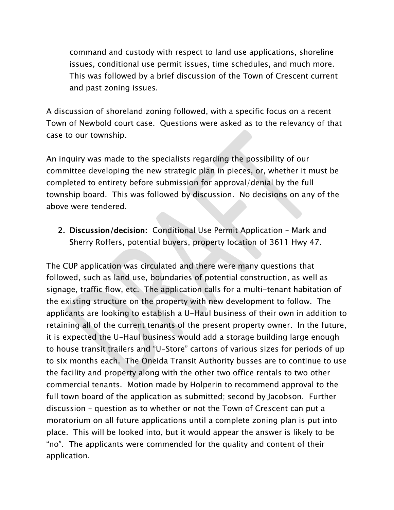command and custody with respect to land use applications, shoreline issues, conditional use permit issues, time schedules, and much more. This was followed by a brief discussion of the Town of Crescent current and past zoning issues.

A discussion of shoreland zoning followed, with a specific focus on a recent Town of Newbold court case. Questions were asked as to the relevancy of that case to our township.

An inquiry was made to the specialists regarding the possibility of our committee developing the new strategic plan in pieces, or, whether it must be completed to entirety before submission for approval/denial by the full township board. This was followed by discussion. No decisions on any of the above were tendered.

2. Discussion/decision: Conditional Use Permit Application – Mark and Sherry Roffers, potential buyers, property location of 3611 Hwy 47.

The CUP application was circulated and there were many questions that followed, such as land use, boundaries of potential construction, as well as signage, traffic flow, etc. The application calls for a multi-tenant habitation of the existing structure on the property with new development to follow. The applicants are looking to establish a U-Haul business of their own in addition to retaining all of the current tenants of the present property owner. In the future, it is expected the U-Haul business would add a storage building large enough to house transit trailers and "U-Store" cartons of various sizes for periods of up to six months each. The Oneida Transit Authority busses are to continue to use the facility and property along with the other two office rentals to two other commercial tenants. Motion made by Holperin to recommend approval to the full town board of the application as submitted; second by Jacobson. Further discussion – question as to whether or not the Town of Crescent can put a moratorium on all future applications until a complete zoning plan is put into place. This will be looked into, but it would appear the answer is likely to be "no". The applicants were commended for the quality and content of their application.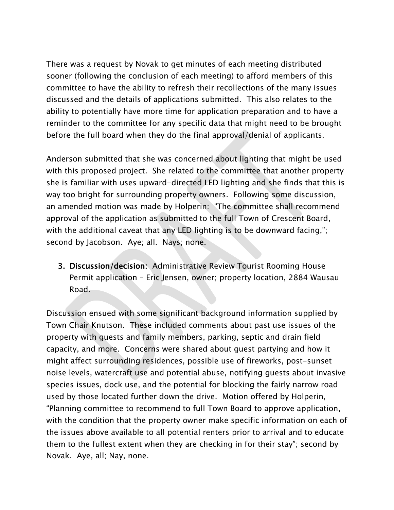There was a request by Novak to get minutes of each meeting distributed sooner (following the conclusion of each meeting) to afford members of this committee to have the ability to refresh their recollections of the many issues discussed and the details of applications submitted. This also relates to the ability to potentially have more time for application preparation and to have a reminder to the committee for any specific data that might need to be brought before the full board when they do the final approval/denial of applicants.

Anderson submitted that she was concerned about lighting that might be used with this proposed project. She related to the committee that another property she is familiar with uses upward-directed LED lighting and she finds that this is way too bright for surrounding property owners. Following some discussion, an amended motion was made by Holperin: "The committee shall recommend approval of the application as submitted to the full Town of Crescent Board, with the additional caveat that any LED lighting is to be downward facing,"; second by Jacobson. Aye; all. Nays; none.

3. Discussion/decision: Administrative Review Tourist Rooming House Permit application – Eric Jensen, owner; property location, 2884 Wausau Road.

Discussion ensued with some significant background information supplied by Town Chair Knutson. These included comments about past use issues of the property with guests and family members, parking, septic and drain field capacity, and more. Concerns were shared about guest partying and how it might affect surrounding residences, possible use of fireworks, post-sunset noise levels, watercraft use and potential abuse, notifying guests about invasive species issues, dock use, and the potential for blocking the fairly narrow road used by those located further down the drive. Motion offered by Holperin, "Planning committee to recommend to full Town Board to approve application, with the condition that the property owner make specific information on each of the issues above available to all potential renters prior to arrival and to educate them to the fullest extent when they are checking in for their stay"; second by Novak. Aye, all; Nay, none.